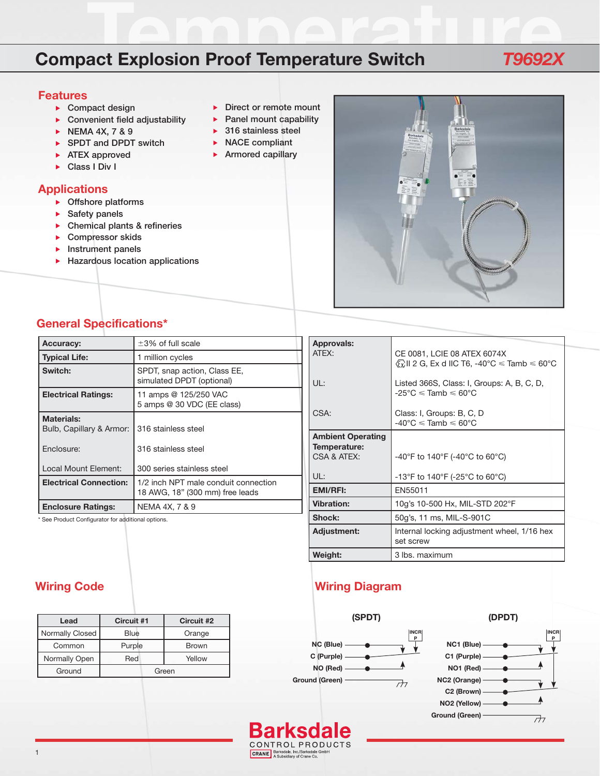# **Temperature Compact Explosion Proof Temperature Switch** *T9692X*

#### **Features**

- **Compact design**
- **Convenient field adjustability**
- **NEMA 4X, 7 & 9**
- ▶ SPDT and DPDT switch
- **ATEX approved**
- **Class I Div I**

## **Applications**

- **Offshore platforms**
- **Safety panels**
- **Chemical plants & refineries**
- **Compressor skids**
- **Instrument panels**
- **Hazardous location applications**
- **Direct or remote mount**
- **Panel mount capability**
- **316 stainless steel**
- **NACE compliant**
- **Armored capillary**



# **General Specifications\***

| <b>Accuracy:</b>                              | $\pm 3\%$ of full scale                                                 |  |
|-----------------------------------------------|-------------------------------------------------------------------------|--|
| <b>Typical Life:</b>                          | 1 million cycles                                                        |  |
| Switch:                                       | SPDT, snap action, Class EE,<br>simulated DPDT (optional)               |  |
| <b>Electrical Ratings:</b>                    | 11 amps @ 125/250 VAC<br>5 amps @ 30 VDC (EE class)                     |  |
| <b>Materials:</b><br>Bulb, Capillary & Armor: | 316 stainless steel                                                     |  |
| Enclosure:                                    | 316 stainless steel                                                     |  |
| Local Mount Element:                          | 300 series stainless steel                                              |  |
| <b>Electrical Connection:</b>                 | 1/2 inch NPT male conduit connection<br>18 AWG, 18" (300 mm) free leads |  |
| <b>Enclosure Ratings:</b>                     | NEMA 4X, 7 & 9                                                          |  |

\* See Product Configurator for additional options.

| Approvals:                                              |                                                                                                                    |  |
|---------------------------------------------------------|--------------------------------------------------------------------------------------------------------------------|--|
| ATFX:                                                   | CE 0081, LCIE 08 ATEX 6074X<br>$\langle \Omega \rangle$ II 2 G, Ex d IIC T6, -40°C $\leq$ Tamb $\leq 60^{\circ}$ C |  |
| UL:                                                     | Listed 366S, Class: I, Groups: A, B, C, D,<br>$-25^{\circ}$ C $\le$ Tamb $\le$ 60 $^{\circ}$ C                     |  |
| CSA:                                                    | Class: I, Groups: B, C, D<br>$-40^{\circ}$ C $\leq$ Tamb $\leq 60^{\circ}$ C                                       |  |
| <b>Ambient Operating</b><br>Temperature:<br>CSA & ATEX: | -40°F to 140°F (-40°C to 60°C)                                                                                     |  |
| UL:                                                     | -13°F to 140°F (-25°C to 60°C)                                                                                     |  |
| <b>EMI/RFI:</b>                                         | EN55011                                                                                                            |  |
| <b>Vibration:</b>                                       | 10g's 10-500 Hx, MIL-STD 202°F                                                                                     |  |
| Shock:                                                  | 50g's, 11 ms, MIL-S-901C                                                                                           |  |
| Adjustment:                                             | Internal locking adjustment wheel, 1/16 hex<br>set screw                                                           |  |
| Weight:                                                 | 3 lbs. maximum                                                                                                     |  |

# **Wiring Code Wiring Diagram**



CRANE, Barksdale, Inc./Barksdale Gmbl<br>A Subsidiary of Crane Co.

Bar

| Lead                   | Circuit #1 | Circuit #2   |  |  |
|------------------------|------------|--------------|--|--|
| <b>Normally Closed</b> | Blue       | Orange       |  |  |
| Common                 | Purple     | <b>Brown</b> |  |  |
| Normally Open          | Red        | Yellow       |  |  |
| Ground                 | Green      |              |  |  |